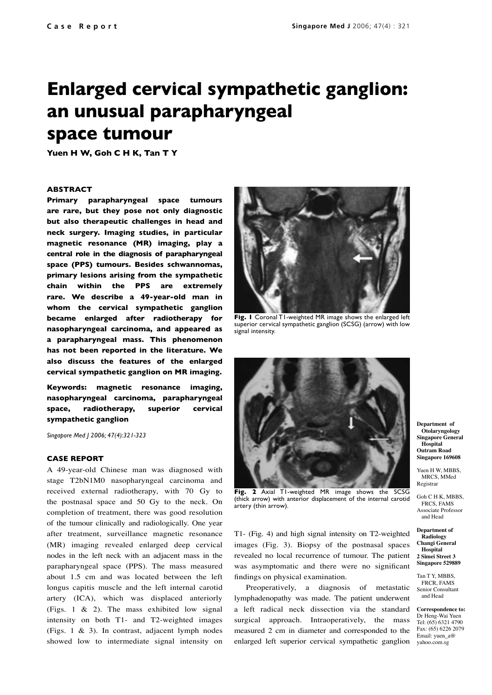# **Enlarged cervical sympathetic ganglion: an unusual parapharyngeal space tumour**

**Yuen H W, Goh C H K, Tan T Y**

## **ABSTRACT**

**Primary parapharyngeal space tumours are rare, but they pose not only diagnostic but also therapeutic challenges in head and neck surgery. Imaging studies, in particular magnetic resonance (MR) imaging, play a central role in the diagnosis of parapharyngeal space (PPS) tumours. Besides schwannomas, primary lesions arising from the sympathetic chain within the PPS are extremely rare. We describe a 49-year-old man in whom the cervical sympathetic ganglion became enlarged after radiotherapy for nasopharyngeal carcinoma, and appeared as a parapharyngeal mass. This phenomenon has not been reported in the literature. We also discuss the features of the enlarged cervical sympathetic ganglion on MR imaging.** 

**Keywords: magnetic resonance imaging, nasopharyngeal carcinoma, parapharyngeal space, radiotherapy, superior cervical sympathetic ganglion**

*Singapore Med J 2006; 47(4):321-323*

### **CASE REPORT**

A 49-year-old Chinese man was diagnosed with stage T2bN1M0 nasopharyngeal carcinoma and received external radiotherapy, with 70 Gy to the postnasal space and 50 Gy to the neck. On completion of treatment, there was good resolution of the tumour clinically and radiologically. One year after treatment, surveillance magnetic resonance (MR) imaging revealed enlarged deep cervical nodes in the left neck with an adjacent mass in the parapharyngeal space (PPS). The mass measured about 1.5 cm and was located between the left longus capitis muscle and the left internal carotid artery (ICA), which was displaced anteriorly (Figs. 1 & 2). The mass exhibited low signal intensity on both T1- and T2-weighted images (Figs. 1 & 3). In contrast, adjacent lymph nodes showed low to intermediate signal intensity on



**Fig. 1** Coronal T1-weighted MR image shows the enlarged left superior cervical sympathetic ganglion (SCSG) (arrow) with low signal intensity.



**Fig. 2** Axial T1-weighted MR image shows the SCSG (thick arrow) with anterior displacement of the internal carotid artery (thin arrow).

T1- (Fig. 4) and high signal intensity on T2-weighted images (Fig. 3). Biopsy of the postnasal spaces revealed no local recurrence of tumour. The patient was asymptomatic and there were no significant findings on physical examination.

enlarged left superior cervical sympathetic ganglion yahoo.com.sg Preoperatively, a diagnosis of metastatic lymphadenopathy was made. The patient underwent a left radical neck dissection via the standard surgical approach. Intraoperatively, the mass measured 2 cm in diameter and corresponded to the

**Department of Otolaryngology Singapore General Hospital Outram Road Singapore 169608**

Yuen H W, MBBS, MRCS, MMed Registrar

Goh C H K, MBBS FRCS, FAMS Associate Professor and Head

**Department of Radiology Changi General Hospital 2 Simei Street 3 Singapore 529889**

Tan T Y, MBBS FRCR, FAMS Senior Consultant and Head

**Correspondence to:**  Dr Heng-Wai Yuen Tel: (65) 6321 4790 Fax: (65) 6226 2079 Email: yuen\_a@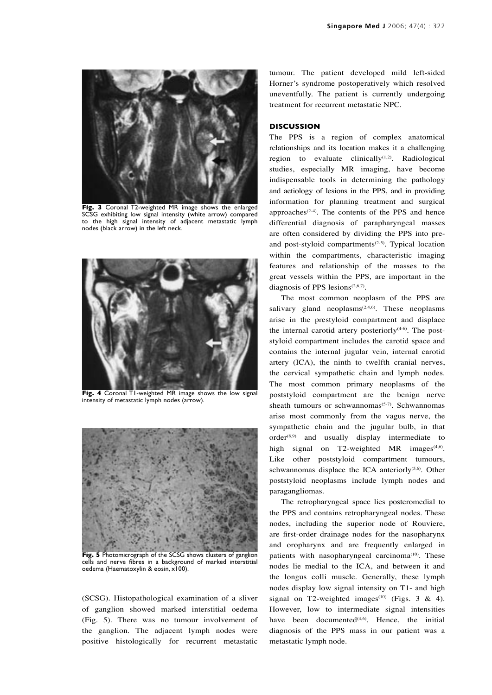

**Fig. 3** Coronal T2-weighted MR image shows the enlarged SCSG exhibiting low signal intensity (white arrow) compared to the high signal intensity of adjacent metastatic lymph nodes (black arrow) in the left neck.



**Fig. 4** Coronal T1-weighted MR image shows the low signal intensity of metastatic lymph nodes (arrow).



**Fig. 5** Photomicrograph of the SCSG shows clusters of ganglion cells and nerve fibres in a background of marked interstitial oedema (Haematoxylin & eosin, x100).

(SCSG). Histopathological examination of a sliver of ganglion showed marked interstitial oedema (Fig. 5). There was no tumour involvement of the ganglion. The adjacent lymph nodes were positive histologically for recurrent metastatic tumour. The patient developed mild left-sided Horner's syndrome postoperatively which resolved uneventfully. The patient is currently undergoing treatment for recurrent metastatic NPC.

## **DISCUSSION**

The PPS is a region of complex anatomical relationships and its location makes it a challenging region to evaluate clinically $(1,2)$ . Radiological studies, especially MR imaging, have become indispensable tools in determining the pathology and aetiology of lesions in the PPS, and in providing information for planning treatment and surgical approaches<sup> $(2-4)$ </sup>. The contents of the PPS and hence differential diagnosis of parapharyngeal masses are often considered by dividing the PPS into preand post-styloid compartments<sup> $(2-5)$ </sup>. Typical location within the compartments, characteristic imaging features and relationship of the masses to the great vessels within the PPS, are important in the diagnosis of PPS lesions $(2,6,7)$ .

The most common neoplasm of the PPS are salivary gland neoplasms<sup> $(2,4,6)$ </sup>. These neoplasms arise in the prestyloid compartment and displace the internal carotid artery posteriorly $(4-6)$ . The poststyloid compartment includes the carotid space and contains the internal jugular vein, internal carotid artery (ICA), the ninth to twelfth cranial nerves, the cervical sympathetic chain and lymph nodes. The most common primary neoplasms of the poststyloid compartment are the benign nerve sheath tumours or schwannomas $(5-7)$ . Schwannomas arise most commonly from the vagus nerve, the sympathetic chain and the jugular bulb, in that  $order<sup>(8,9)</sup>$  and usually display intermediate to high signal on T2-weighted MR images $(4.6)$ . Like other poststyloid compartment tumours, schwannomas displace the ICA anteriorly<sup> $(5,6)$ </sup>. Other poststyloid neoplasms include lymph nodes and paragangliomas.

The retropharyngeal space lies posteromedial to the PPS and contains retropharyngeal nodes. These nodes, including the superior node of Rouviere, are first-order drainage nodes for the nasopharynx and oropharynx and are frequently enlarged in patients with nasopharyngeal carcinoma<sup>(10)</sup>. These nodes lie medial to the ICA, and between it and the longus colli muscle. Generally, these lymph nodes display low signal intensity on T1- and high signal on T2-weighted images<sup>(10)</sup> (Figs. 3 & 4). However, low to intermediate signal intensities have been documented<sup> $(4,6)$ </sup>. Hence, the initial diagnosis of the PPS mass in our patient was a metastatic lymph node.